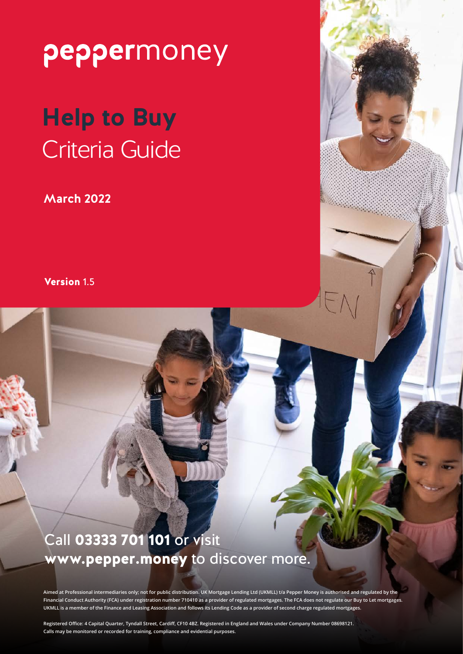# **Help to Buy** Criteria Guide

**March 2022**

Version 1.5

### Call 03333 701 101 or visit www.pepper.money to discover more.

**Aimed at Professional intermediaries only; not for public distribution. UK Mortgage Lending Ltd (UKMLL) t/a Pepper Money is authorised and regulated by the Financial Conduct Authority (FCA) under registration number 710410 as a provider of regulated mortgages. The FCA does not regulate our Buy to Let mortgages. UKMLL is a member of the Finance and Leasing Association and follows its Lending Code as a provider of second charge regulated mortgages.**

**Registered Office: 4 Capital Quarter, Tyndall Street, Cardiff, CF10 4BZ. Registered in England and Wales under Company Number 08698121. Calls may be monitored or recorded for training, compliance and evidential purposes.**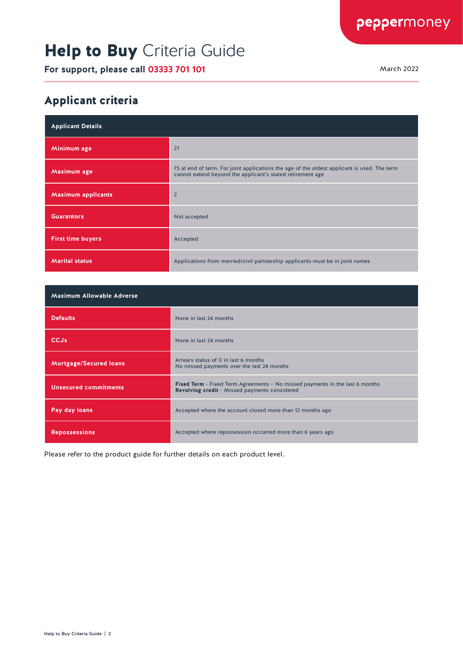# Help to Buy Criteria Guide

**For support, please call 03333 701 101** March 2022

#### Applicant criteria

| <b>Applicant Details</b>  |                                                                                                                                                           |
|---------------------------|-----------------------------------------------------------------------------------------------------------------------------------------------------------|
| Minimum age               | 21                                                                                                                                                        |
| Maximum age               | 75 at end of term. For joint applications the age of the oldest applicant is used. The term<br>cannot extend beyond the applicant's stated retirement age |
| <b>Maximum applicants</b> | $\overline{2}$                                                                                                                                            |
| <b>Guarantors</b>         | Not accepted                                                                                                                                              |
| <b>First time buyers</b>  | Accepted                                                                                                                                                  |
| <b>Marital status</b>     | Applications from married/civil partnership applicants must be in joint names                                                                             |

| <b>Maximum Allowable Adverse</b> |                                                                                                                                             |
|----------------------------------|---------------------------------------------------------------------------------------------------------------------------------------------|
| <b>Defaults</b>                  | None in last 24 months                                                                                                                      |
| <b>CCJs</b>                      | None in last 24 months                                                                                                                      |
| <b>Mortgage/Secured loans</b>    | Arrears status of 0 in last 6 months<br>No missed payments over the last 24 months                                                          |
| <b>Unsecured commitments</b>     | <b>Fixed Term</b> - Fixed Term Agreements - No missed payments in the last 6 months<br><b>Revolving credit</b> - Missed payments considered |
| Pay day loans                    | Accepted where the account closed more than 12 months ago                                                                                   |
| <b>Repossessions</b>             | Accepted where repossession occurred more than 6 years ago                                                                                  |

Please refer to the product guide for further details on each product level.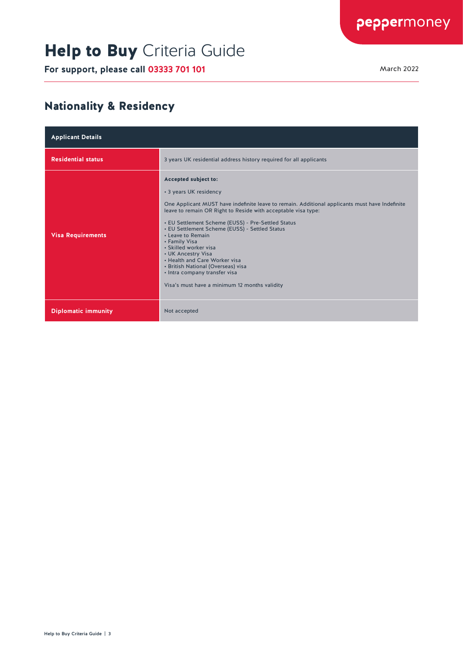# Help to Buy Criteria Guide

**For support, please call 03333 701 101** March 2022

#### Nationality & Residency

| <b>Applicant Details</b>   |                                                                                                                                                                                                                                                                                                                                                                                                                                                                                                                                                                         |
|----------------------------|-------------------------------------------------------------------------------------------------------------------------------------------------------------------------------------------------------------------------------------------------------------------------------------------------------------------------------------------------------------------------------------------------------------------------------------------------------------------------------------------------------------------------------------------------------------------------|
| <b>Residential status</b>  | 3 years UK residential address history required for all applicants                                                                                                                                                                                                                                                                                                                                                                                                                                                                                                      |
| <b>Visa Requirements</b>   | Accepted subject to:<br>• 3 years UK residency<br>One Applicant MUST have indefinite leave to remain. Additional applicants must have Indefinite<br>leave to remain OR Right to Reside with acceptable visa type:<br>• EU Settlement Scheme (EUSS) - Pre-Settled Status<br>• EU Settlement Scheme (EUSS) - Settled Status<br>• Leave to Remain<br>• Family Visa<br>• Skilled worker visa<br>• UK Ancestry Visa<br>. Health and Care Worker visa<br>• British National (Overseas) visa<br>• Intra company transfer visa<br>Visa's must have a minimum 12 months validity |
| <b>Diplomatic immunity</b> | Not accepted                                                                                                                                                                                                                                                                                                                                                                                                                                                                                                                                                            |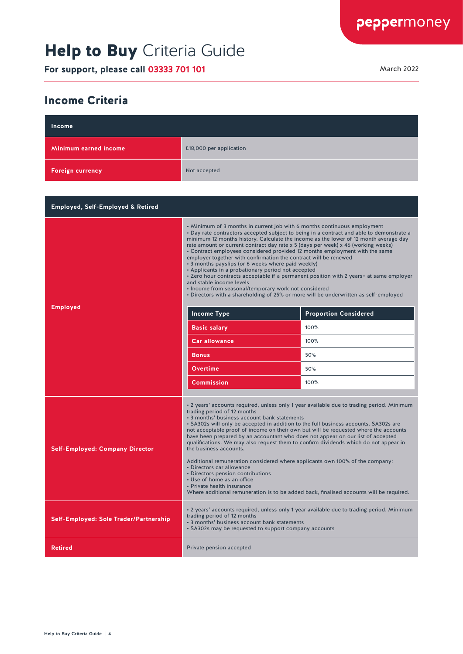# Help to Buy Criteria Guide

**For support, please call 03333 701 101** March 2022

#### Income Criteria

| Income                                       |                                                                                                                                                                                                                                                                                                                                                                                                                                                                                                                                                                                                                                                                                                                                                                                                                                                                                         |                                                                                           |
|----------------------------------------------|-----------------------------------------------------------------------------------------------------------------------------------------------------------------------------------------------------------------------------------------------------------------------------------------------------------------------------------------------------------------------------------------------------------------------------------------------------------------------------------------------------------------------------------------------------------------------------------------------------------------------------------------------------------------------------------------------------------------------------------------------------------------------------------------------------------------------------------------------------------------------------------------|-------------------------------------------------------------------------------------------|
| Minimum earned income                        | £18,000 per application                                                                                                                                                                                                                                                                                                                                                                                                                                                                                                                                                                                                                                                                                                                                                                                                                                                                 |                                                                                           |
| <b>Foreign currency</b>                      | Not accepted                                                                                                                                                                                                                                                                                                                                                                                                                                                                                                                                                                                                                                                                                                                                                                                                                                                                            |                                                                                           |
|                                              |                                                                                                                                                                                                                                                                                                                                                                                                                                                                                                                                                                                                                                                                                                                                                                                                                                                                                         |                                                                                           |
| <b>Employed, Self-Employed &amp; Retired</b> |                                                                                                                                                                                                                                                                                                                                                                                                                                                                                                                                                                                                                                                                                                                                                                                                                                                                                         |                                                                                           |
| <b>Employed</b>                              | • Minimum of 3 months in current job with 6 months continuous employment<br>• Day rate contractors accepted subject to being in a contract and able to demonstrate a<br>minimum 12 months history. Calculate the income as the lower of 12 month average day<br>rate amount or current contract day rate x 5 (days per week) x 46 (working weeks)<br>• Contract employees considered provided 12 months employment with the same<br>employer together with confirmation the contract will be renewed<br>• 3 months payslips (or 6 weeks where paid weekly)<br>• Applicants in a probationary period not accepted<br>• Zero hour contracts acceptable if a permanent position with 2 years+ at same employer<br>and stable income levels<br>• Income from seasonal/temporary work not considered<br>• Directors with a shareholding of 25% or more will be underwritten as self-employed |                                                                                           |
|                                              | Income Type                                                                                                                                                                                                                                                                                                                                                                                                                                                                                                                                                                                                                                                                                                                                                                                                                                                                             | <b>Proportion Considered</b>                                                              |
|                                              | Basic salary                                                                                                                                                                                                                                                                                                                                                                                                                                                                                                                                                                                                                                                                                                                                                                                                                                                                            | 100%                                                                                      |
|                                              | <b>Car allowance</b>                                                                                                                                                                                                                                                                                                                                                                                                                                                                                                                                                                                                                                                                                                                                                                                                                                                                    | 100%                                                                                      |
|                                              | <b>Bonus</b>                                                                                                                                                                                                                                                                                                                                                                                                                                                                                                                                                                                                                                                                                                                                                                                                                                                                            | 50%                                                                                       |
|                                              | Overtime                                                                                                                                                                                                                                                                                                                                                                                                                                                                                                                                                                                                                                                                                                                                                                                                                                                                                | 50%                                                                                       |
|                                              | <b>Commission</b>                                                                                                                                                                                                                                                                                                                                                                                                                                                                                                                                                                                                                                                                                                                                                                                                                                                                       | 100%                                                                                      |
| <b>Self-Employed: Company Director</b>       | trading period of 12 months<br>• 3 months' business account bank statements<br>. SA302s will only be accepted in addition to the full business accounts. SA302s are<br>not acceptable proof of income on their own but will be requested where the accounts<br>have been prepared by an accountant who does not appear on our list of accepted<br>qualifications. We may also request them to confirm dividends which do not appear in<br>the business accounts.<br>Additional remuneration considered where applicants own 100% of the company:<br>• Directors car allowance<br>• Directors pension contributions<br>• Use of home as an office<br>• Private health insurance<br>Where additional remuneration is to be added back, finalised accounts will be required.                                                                                                               | • 2 years' accounts required, unless only 1 year available due to trading period. Minimum |
| Self-Employed: Sole Trader/Partnership       | · 2 years' accounts required, unless only 1 year available due to trading period. Minimum<br>trading period of 12 months<br>• 3 months' business account bank statements<br>• SA302s may be requested to support company accounts                                                                                                                                                                                                                                                                                                                                                                                                                                                                                                                                                                                                                                                       |                                                                                           |
| <b>Retired</b>                               | Private pension accepted                                                                                                                                                                                                                                                                                                                                                                                                                                                                                                                                                                                                                                                                                                                                                                                                                                                                |                                                                                           |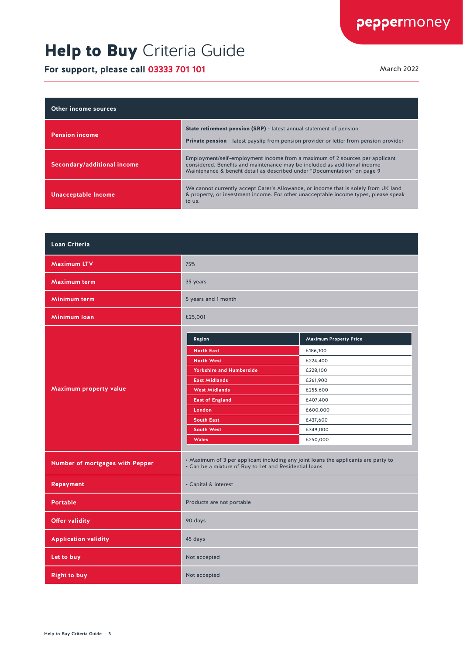### Help to Buy Criteria Guide

**For support, please call 03333 701 101** March 2022 March 2022

| <b>Other income sources</b> |                                                                                                                                                                                                                                       |
|-----------------------------|---------------------------------------------------------------------------------------------------------------------------------------------------------------------------------------------------------------------------------------|
| <b>Pension income</b>       | State retirement pension (SRP) - latest annual statement of pension<br><b>Private pension</b> - latest payslip from pension provider or letter from pension provider                                                                  |
| Secondary/additional income | Employment/self-employment income from a maximum of 2 sources per applicant<br>considered. Benefits and maintenance may be included as additional income<br>Maintenance & benefit detail as described under "Documentation" on page 9 |
| <b>Unacceptable Income</b>  | We cannot currently accept Carer's Allowance, or income that is solely from UK land<br>& property, or investment income. For other unacceptable income types, please speak<br>to us.                                                  |

| Loan Criteria                   |                                                                                                                                              |                               |
|---------------------------------|----------------------------------------------------------------------------------------------------------------------------------------------|-------------------------------|
| <b>Maximum LTV</b>              | 75%                                                                                                                                          |                               |
| Maximum term                    | 35 years                                                                                                                                     |                               |
| Minimum term                    | 5 years and 1 month                                                                                                                          |                               |
| Minimum Ioan                    | £25,001                                                                                                                                      |                               |
|                                 | Region                                                                                                                                       | <b>Maximum Property Price</b> |
|                                 | <b>North East</b>                                                                                                                            | £186,100                      |
|                                 | <b>North West</b>                                                                                                                            | £224,400                      |
|                                 | <b>Yorkshire and Humberside</b>                                                                                                              | £228,100                      |
|                                 | <b>East Midlands</b>                                                                                                                         | £261,900                      |
| Maximum property value          | <b>West Midlands</b>                                                                                                                         | £255,600                      |
|                                 | <b>East of England</b>                                                                                                                       | £407,400                      |
|                                 | London                                                                                                                                       | £600,000                      |
|                                 | <b>South East</b>                                                                                                                            | £437,600                      |
|                                 | <b>South West</b>                                                                                                                            | £349,000                      |
|                                 | <b>Wales</b>                                                                                                                                 | £250,000                      |
| Number of mortgages with Pepper | • Maximum of 3 per applicant including any joint loans the applicants are party to<br>• Can be a mixture of Buy to Let and Residential loans |                               |
| Repayment                       | • Capital & interest                                                                                                                         |                               |
| <b>Portable</b>                 | Products are not portable                                                                                                                    |                               |
| <b>Offer validity</b>           | 90 days                                                                                                                                      |                               |
| <b>Application validity</b>     | 45 days                                                                                                                                      |                               |
| Let to buy                      | Not accepted                                                                                                                                 |                               |
| <b>Right to buy</b>             | Not accepted                                                                                                                                 |                               |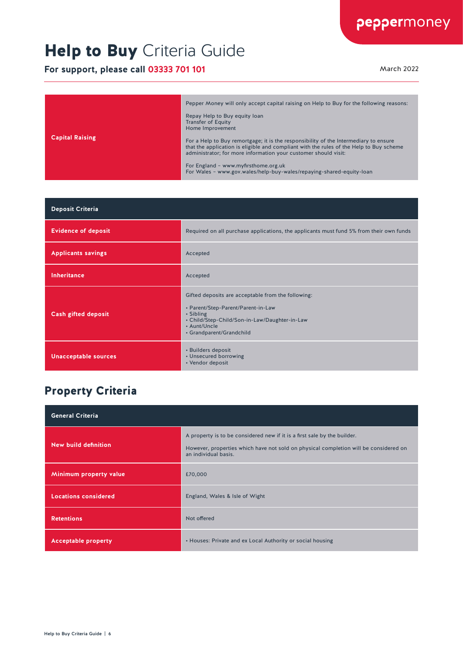# Help to Buy Criteria Guide

**For support, please call 03333 701 101** March 2022

| <b>Capital Raising</b> | Pepper Money will only accept capital raising on Help to Buy for the following reasons:<br>Repay Help to Buy equity loan<br><b>Transfer of Equity</b><br>Home Improvement<br>For a Help to Buy remortgage; it is the responsibility of the Intermediary to ensure<br>that the application is eligible and compliant with the rules of the Help to Buy scheme<br>administrator; for more information your customer should visit:<br>For England - www.myfirsthome.org.uk<br>For Wales - www.gov.wales/help-buy-wales/repaying-shared-equity-loan |
|------------------------|-------------------------------------------------------------------------------------------------------------------------------------------------------------------------------------------------------------------------------------------------------------------------------------------------------------------------------------------------------------------------------------------------------------------------------------------------------------------------------------------------------------------------------------------------|

| <b>Deposit Criteria</b>     |                                                                                                                                                                                                    |
|-----------------------------|----------------------------------------------------------------------------------------------------------------------------------------------------------------------------------------------------|
| <b>Evidence of deposit</b>  | Required on all purchase applications, the applicants must fund 5% from their own funds                                                                                                            |
| <b>Applicants savings</b>   | Accepted                                                                                                                                                                                           |
| <b>Inheritance</b>          | Accepted                                                                                                                                                                                           |
| <b>Cash gifted deposit</b>  | Gifted deposits are acceptable from the following:<br>• Parent/Step-Parent/Parent-in-Law<br>• Sibling<br>• Child/Step-Child/Son-in-Law/Daughter-in-Law<br>• Aunt/Uncle<br>• Grandparent/Grandchild |
| <b>Unacceptable sources</b> | • Builders deposit<br>• Unsecured borrowing<br>• Vendor deposit                                                                                                                                    |

#### Property Criteria

| <b>General Criteria</b>     |                                                                                                                                                                                          |
|-----------------------------|------------------------------------------------------------------------------------------------------------------------------------------------------------------------------------------|
| New build definition        | A property is to be considered new if it is a first sale by the builder.<br>However, properties which have not sold on physical completion will be considered on<br>an individual basis. |
| Minimum property value      | £70,000                                                                                                                                                                                  |
| <b>Locations considered</b> | England, Wales & Isle of Wight                                                                                                                                                           |
| <b>Retentions</b>           | Not offered                                                                                                                                                                              |
| <b>Acceptable property</b>  | • Houses: Private and ex Local Authority or social housing                                                                                                                               |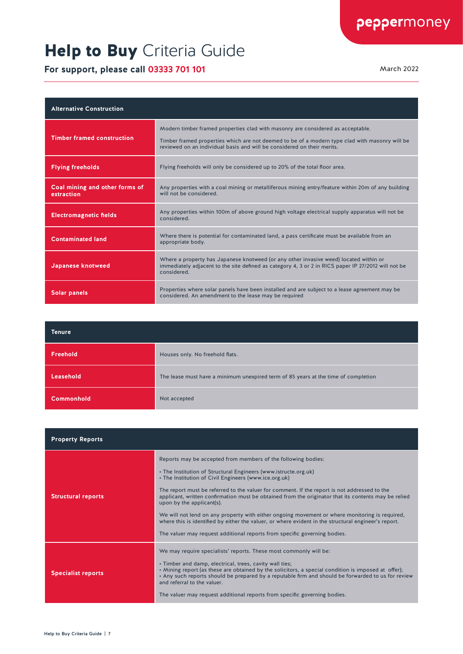### Help to Buy Criteria Guide

**For support, please call 03333 701 101** March 2022

| <b>Alternative Construction</b>              |                                                                                                                                                                                                                                                              |
|----------------------------------------------|--------------------------------------------------------------------------------------------------------------------------------------------------------------------------------------------------------------------------------------------------------------|
| <b>Timber framed construction</b>            | Modern timber framed properties clad with masonry are considered as acceptable.<br>Timber framed properties which are not deemed to be of a modern type clad with masonry will be<br>reviewed on an individual basis and will be considered on their merits. |
| <b>Flying freeholds</b>                      | Flying freeholds will only be considered up to 20% of the total floor area.                                                                                                                                                                                  |
| Coal mining and other forms of<br>extraction | Any properties with a coal mining or metalliferous mining entry/feature within 20m of any building<br>will not be considered.                                                                                                                                |
| <b>Electromagnetic fields</b>                | Any properties within 100m of above ground high voltage electrical supply apparatus will not be<br>considered.                                                                                                                                               |
| <b>Contaminated land</b>                     | Where there is potential for contaminated land, a pass certificate must be available from an<br>appropriate body.                                                                                                                                            |
| Japanese knotweed                            | Where a property has Japanese knotweed (or any other invasive weed) located within or<br>immediately adjacent to the site defined as category 4, 3 or 2 in RICS paper IP 27/2012 will not be<br>considered.                                                  |
| <b>Solar panels</b>                          | Properties where solar panels have been installed and are subject to a lease agreement may be<br>considered. An amendment to the lease may be required                                                                                                       |

| <b>Tenure</b>     |                                                                                    |
|-------------------|------------------------------------------------------------------------------------|
| Freehold          | Houses only. No freehold flats.                                                    |
| Leasehold         | The lease must have a minimum unexpired term of 85 years at the time of completion |
| <b>Commonhold</b> | Not accepted                                                                       |

| <b>Property Reports</b>   |                                                                                                                                                                                                                                                                                                                                                                                                                                                                                                                                                                                                                                                                                                                       |
|---------------------------|-----------------------------------------------------------------------------------------------------------------------------------------------------------------------------------------------------------------------------------------------------------------------------------------------------------------------------------------------------------------------------------------------------------------------------------------------------------------------------------------------------------------------------------------------------------------------------------------------------------------------------------------------------------------------------------------------------------------------|
| <b>Structural reports</b> | Reports may be accepted from members of the following bodies:<br>• The Institution of Structural Engineers (www.istructe.org.uk)<br>• The Institution of Civil Engineers (www.ice.org.uk)<br>The report must be referred to the valuer for comment. If the report is not addressed to the<br>applicant, written confirmation must be obtained from the originator that its contents may be relied<br>upon by the applicant(s).<br>We will not lend on any property with either ongoing movement or where monitoring is required,<br>where this is identified by either the valuer, or where evident in the structural engineer's report.<br>The valuer may request additional reports from specific governing bodies. |
| <b>Specialist reports</b> | We may require specialists' reports. These most commonly will be:<br>. Timber and damp, electrical, trees, cavity wall ties;<br>• Mining report (as these are obtained by the solicitors, a special condition is imposed at offer);<br>. Any such reports should be prepared by a reputable firm and should be forwarded to us for review<br>and referral to the valuer.<br>The valuer may request additional reports from specific governing bodies.                                                                                                                                                                                                                                                                 |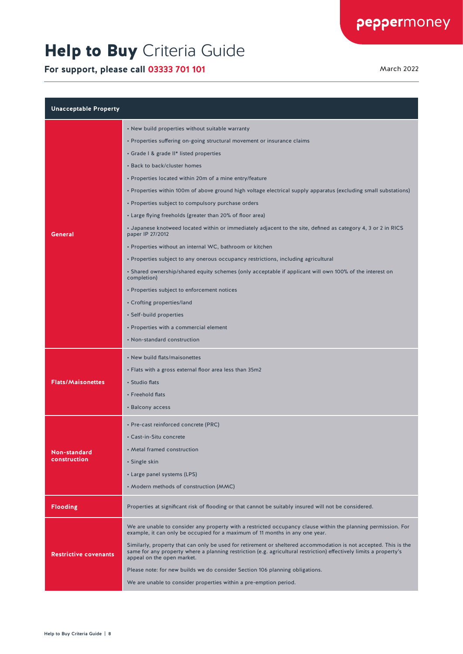### Help to Buy Criteria Guide

**For support, please call 03333 701 101** March 2022

| <b>Unacceptable Property</b> |                                                                                                                                                                                                                                                                      |  |
|------------------------------|----------------------------------------------------------------------------------------------------------------------------------------------------------------------------------------------------------------------------------------------------------------------|--|
| General                      | • New build properties without suitable warranty                                                                                                                                                                                                                     |  |
|                              | • Properties suffering on-going structural movement or insurance claims                                                                                                                                                                                              |  |
|                              | • Grade I & grade II* listed properties                                                                                                                                                                                                                              |  |
|                              | • Back to back/cluster homes                                                                                                                                                                                                                                         |  |
|                              | • Properties located within 20m of a mine entry/feature                                                                                                                                                                                                              |  |
|                              | · Properties within 100m of above ground high voltage electrical supply apparatus (excluding small substations)                                                                                                                                                      |  |
|                              | • Properties subject to compulsory purchase orders                                                                                                                                                                                                                   |  |
|                              | • Large flying freeholds (greater than 20% of floor area)                                                                                                                                                                                                            |  |
|                              | • Japanese knotweed located within or immediately adjacent to the site, defined as category 4, 3 or 2 in RICS<br>paper IP 27/2012                                                                                                                                    |  |
|                              | • Properties without an internal WC, bathroom or kitchen                                                                                                                                                                                                             |  |
|                              | • Properties subject to any onerous occupancy restrictions, including agricultural                                                                                                                                                                                   |  |
|                              | • Shared ownership/shared equity schemes (only acceptable if applicant will own 100% of the interest on<br>completion)                                                                                                                                               |  |
|                              | • Properties subject to enforcement notices                                                                                                                                                                                                                          |  |
|                              | • Crofting properties/land                                                                                                                                                                                                                                           |  |
|                              | · Self-build properties                                                                                                                                                                                                                                              |  |
|                              | • Properties with a commercial element                                                                                                                                                                                                                               |  |
|                              | • Non-standard construction                                                                                                                                                                                                                                          |  |
|                              | • New build flats/maisonettes                                                                                                                                                                                                                                        |  |
|                              | . Flats with a gross external floor area less than 35m2                                                                                                                                                                                                              |  |
| <b>Flats/Maisonettes</b>     | • Studio flats                                                                                                                                                                                                                                                       |  |
|                              | • Freehold flats                                                                                                                                                                                                                                                     |  |
|                              | • Balcony access                                                                                                                                                                                                                                                     |  |
| Non-standard<br>construction | • Pre-cast reinforced concrete (PRC)                                                                                                                                                                                                                                 |  |
|                              | • Cast-in-Situ concrete                                                                                                                                                                                                                                              |  |
|                              | • Metal framed construction                                                                                                                                                                                                                                          |  |
|                              | • Single skin                                                                                                                                                                                                                                                        |  |
|                              | • Large panel systems (LPS)                                                                                                                                                                                                                                          |  |
|                              | • Modern methods of construction (MMC)                                                                                                                                                                                                                               |  |
| <b>Flooding</b>              | Properties at significant risk of flooding or that cannot be suitably insured will not be considered.                                                                                                                                                                |  |
| <b>Restrictive covenants</b> | We are unable to consider any property with a restricted occupancy clause within the planning permission. For<br>example, it can only be occupied for a maximum of 11 months in any one year.                                                                        |  |
|                              | Similarly, property that can only be used for retirement or sheltered accommodation is not accepted. This is the<br>same for any property where a planning restriction (e.g. agricultural restriction) effectively limits a property's<br>appeal on the open market. |  |
|                              | Please note: for new builds we do consider Section 106 planning obligations.                                                                                                                                                                                         |  |
|                              | We are unable to consider properties within a pre-emption period.                                                                                                                                                                                                    |  |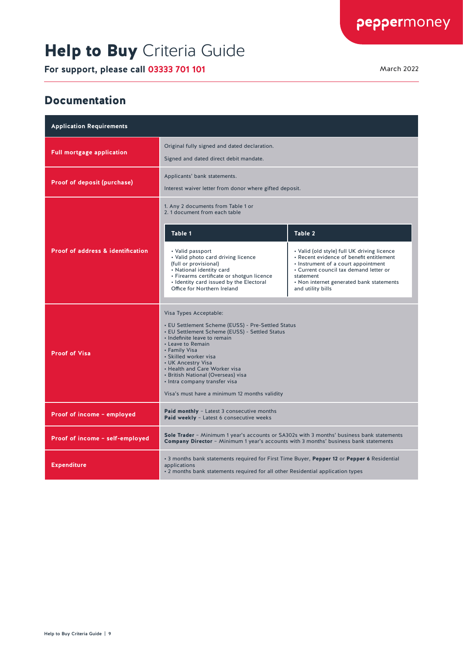# Help to Buy Criteria Guide

**For support, please call 03333 701 101** March 2022

#### Documentation

| <b>Application Requirements</b>              |                                                                                                                                                                                                                                                                                                                                                                                                              |                                                                                                                                                                                                                                                        |  |  |
|----------------------------------------------|--------------------------------------------------------------------------------------------------------------------------------------------------------------------------------------------------------------------------------------------------------------------------------------------------------------------------------------------------------------------------------------------------------------|--------------------------------------------------------------------------------------------------------------------------------------------------------------------------------------------------------------------------------------------------------|--|--|
| <b>Full mortgage application</b>             | Original fully signed and dated declaration.<br>Signed and dated direct debit mandate.                                                                                                                                                                                                                                                                                                                       |                                                                                                                                                                                                                                                        |  |  |
| Proof of deposit (purchase)                  | Applicants' bank statements.<br>Interest waiver letter from donor where gifted deposit.                                                                                                                                                                                                                                                                                                                      |                                                                                                                                                                                                                                                        |  |  |
|                                              | 1. Any 2 documents from Table 1 or<br>2. 1 document from each table                                                                                                                                                                                                                                                                                                                                          |                                                                                                                                                                                                                                                        |  |  |
|                                              | Table 1                                                                                                                                                                                                                                                                                                                                                                                                      | Table 2                                                                                                                                                                                                                                                |  |  |
| <b>Proof of address &amp; identification</b> | • Valid passport<br>• Valid photo card driving licence<br>(full or provisional)<br>• National identity card<br>• Firearms certificate or shotgun licence<br>• Identity card issued by the Electoral<br>Office for Northern Ireland                                                                                                                                                                           | • Valid (old style) full UK driving licence<br>• Recent evidence of benefit entitlement<br>• Instrument of a court appointment<br>• Current council tax demand letter or<br>statement<br>• Non internet generated bank statements<br>and utility bills |  |  |
| <b>Proof of Visa</b>                         | Visa Types Acceptable:<br>• EU Settlement Scheme (EUSS) - Pre-Settled Status<br>• EU Settlement Scheme (EUSS) - Settled Status<br>· Indefinite leave to remain<br>• Leave to Remain<br>• Family Visa<br>· Skilled worker visa<br>• UK Ancestry Visa<br>• Health and Care Worker visa<br>• British National (Overseas) visa<br>• Intra company transfer visa<br>Visa's must have a minimum 12 months validity |                                                                                                                                                                                                                                                        |  |  |
| Proof of income - employed                   | Paid monthly - Latest 3 consecutive months<br>Paid weekly - Latest 6 consecutive weeks                                                                                                                                                                                                                                                                                                                       |                                                                                                                                                                                                                                                        |  |  |
| Proof of income - self-employed              | Sole Trader - Minimum 1 year's accounts or SA302s with 3 months' business bank statements<br><b>Company Director</b> - Minimum 1 year's accounts with 3 months' business bank statements                                                                                                                                                                                                                     |                                                                                                                                                                                                                                                        |  |  |
| <b>Expenditure</b>                           | . 3 months bank statements required for First Time Buyer, Pepper 12 or Pepper 6 Residential<br>applications<br>. 2 months bank statements required for all other Residential application types                                                                                                                                                                                                               |                                                                                                                                                                                                                                                        |  |  |